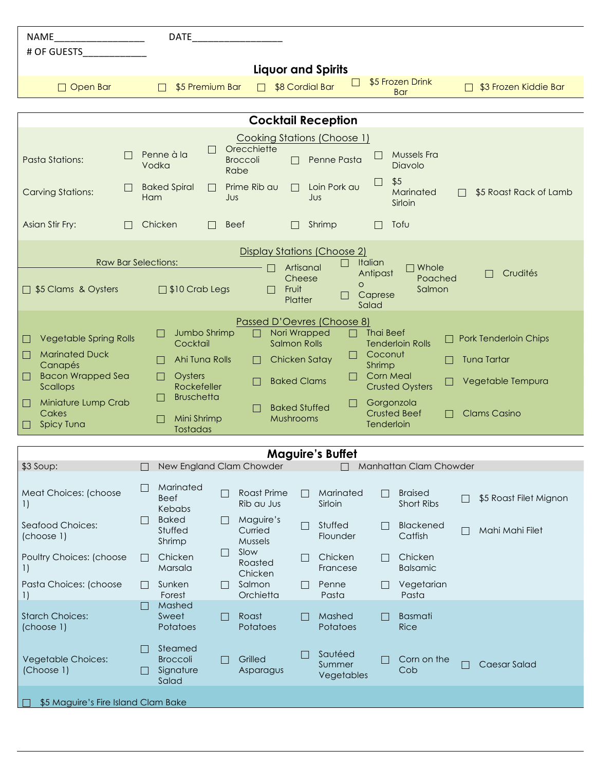| <b>NAME</b>                                                        | <b>DATE</b>                         |                 |                                  |                                                       |                                   |                              |   |                        |  |  |
|--------------------------------------------------------------------|-------------------------------------|-----------------|----------------------------------|-------------------------------------------------------|-----------------------------------|------------------------------|---|------------------------|--|--|
| # OF GUESTS                                                        |                                     |                 |                                  |                                                       |                                   |                              |   |                        |  |  |
| <b>Liquor and Spirits</b>                                          |                                     |                 |                                  |                                                       |                                   |                              |   |                        |  |  |
| $\Box$ Open Bar                                                    | $\Box$                              | \$5 Premium Bar | $\Box$                           | $\Box$<br>\$8 Cordial Bar                             |                                   | \$5 Frozen Drink             | П | \$3 Frozen Kiddie Bar  |  |  |
|                                                                    |                                     |                 |                                  |                                                       |                                   | <b>Bar</b>                   |   |                        |  |  |
|                                                                    |                                     |                 |                                  |                                                       |                                   |                              |   |                        |  |  |
| <b>Cocktail Reception</b>                                          |                                     |                 |                                  |                                                       |                                   |                              |   |                        |  |  |
|                                                                    |                                     |                 | Orecchiette                      | Cooking Stations (Choose 1)                           |                                   |                              |   |                        |  |  |
| <b>Pasta Stations:</b>                                             | Penne à la                          | $\Box$          | <b>Broccoli</b><br>$\Box$        | Penne Pasta                                           |                                   | Mussels Fra                  |   |                        |  |  |
|                                                                    | Vodka                               | Rabe            |                                  |                                                       |                                   | Diavolo                      |   |                        |  |  |
| <b>Carving Stations:</b>                                           | <b>Baked Spiral</b>                 | $\Box$          | Prime Rib au<br>$\Box$           | Loin Pork au                                          | ⊔                                 | \$5<br>Marinated             |   | \$5 Roast Rack of Lamb |  |  |
|                                                                    | Ham                                 | JUS             |                                  | JUS                                                   |                                   | Sirloin                      |   |                        |  |  |
|                                                                    |                                     |                 |                                  |                                                       |                                   |                              |   |                        |  |  |
| Asian Stir Fry:                                                    | Chicken                             | Beef            | П                                | Shrimp                                                |                                   | Tofu                         |   |                        |  |  |
| Display Stations (Choose 2)                                        |                                     |                 |                                  |                                                       |                                   |                              |   |                        |  |  |
| <b>Raw Bar Selections:</b><br>Italian<br>Artisanal<br>$\Box$ Whole |                                     |                 |                                  |                                                       |                                   |                              |   |                        |  |  |
|                                                                    |                                     |                 |                                  | Cheese                                                | Antipast                          | Poached                      |   | Crudités               |  |  |
| □ \$5 Clams & Oysters                                              | $\Box$ \$10 Crab Legs               |                 | Fruit                            | $\circ$                                               | Caprese                           | Salmon                       |   |                        |  |  |
|                                                                    |                                     |                 |                                  | Platter                                               | Salad                             |                              |   |                        |  |  |
|                                                                    |                                     |                 |                                  | Passed D'Oevres (Choose 8)                            |                                   |                              |   |                        |  |  |
| <b>Vegetable Spring Rolls</b>                                      | Jumbo Shrimp<br>Ш                   |                 |                                  | Nori Wrapped                                          | <b>Thai Beef</b>                  |                              |   | Pork Tenderloin Chips  |  |  |
| <b>Marinated Duck</b><br>$\Box$                                    | Cocktail                            |                 |                                  | <b>Salmon Rolls</b><br>H                              | Coconut                           | <b>Tenderloin Rolls</b>      |   |                        |  |  |
| Canapés                                                            | Ahi Tuna Rolls                      |                 |                                  | Chicken Satay                                         | Shrimp                            |                              |   | Tuna Tartar            |  |  |
| <b>Bacon Wrapped Sea</b><br>$\Box$                                 | Oysters                             |                 |                                  | <b>Baked Clams</b>                                    | <b>Corn Meal</b>                  |                              |   | Vegetable Tempura      |  |  |
| Scallops                                                           | Rockefeller<br><b>Bruschetta</b>    |                 |                                  |                                                       |                                   | <b>Crusted Oysters</b>       |   |                        |  |  |
| Miniature Lump Crab<br>Cakes                                       |                                     |                 |                                  | H<br><b>Baked Stuffed</b>                             | Gorgonzola<br><b>Crusted Beef</b> |                              |   | <b>Clams Casino</b>    |  |  |
| <b>Spicy Tuna</b>                                                  | Mini Shrimp<br>□<br><b>Tostadas</b> |                 | Mushrooms                        |                                                       | Tenderloin                        |                              |   |                        |  |  |
|                                                                    |                                     |                 |                                  |                                                       |                                   |                              |   |                        |  |  |
| <b>Maguire's Buffet</b>                                            |                                     |                 |                                  |                                                       |                                   |                              |   |                        |  |  |
| \$3 Soup:                                                          |                                     |                 |                                  | □ New England Clam Chowder □ □ Manhattan Clam Chowder |                                   |                              |   |                        |  |  |
|                                                                    | Marinated<br>$\Box$                 |                 |                                  |                                                       |                                   |                              |   |                        |  |  |
| Meat Choices: (choose<br>$\left  \right $                          | Beef                                | Ш               | <b>Roast Prime</b><br>Rib au Jus | Marinated<br>$\Box$<br>Sirloin                        | $\Box$                            | <b>Braised</b><br>Short Ribs |   | \$5 Roast Filet Mignon |  |  |
|                                                                    | Kebabs<br><b>Baked</b>              |                 |                                  |                                                       |                                   |                              |   |                        |  |  |
| Seafood Choices:                                                   | Stuffed                             |                 | Maguire's<br>Curried             | Stuffed<br>П                                          |                                   | Blackened                    |   | Mahi Mahi Filet        |  |  |
| (choose 1)                                                         | Shrimp                              |                 | Mussels                          | Flounder                                              |                                   | Catfish                      |   |                        |  |  |
| Poultry Choices: (choose                                           | Chicken<br>$\Box$                   | Ш               | Slow<br>Roasted                  | Chicken                                               | Ш                                 | Chicken                      |   |                        |  |  |
| 1)                                                                 | Marsala                             |                 | Chicken                          | Francese                                              |                                   | <b>Balsamic</b>              |   |                        |  |  |
| Pasta Choices: (choose                                             | Sunken<br>$\Box$                    |                 | Salmon                           | Penne                                                 | $\Box$                            | Vegetarian                   |   |                        |  |  |
| $\left  \right $                                                   | Forest<br>Mashed<br>H               |                 | Orchietta                        | Pasta                                                 |                                   | Pasta                        |   |                        |  |  |
| <b>Starch Choices:</b>                                             | Sweet                               | Ш               | Roast                            | Mashed                                                | $\Box$                            | <b>Basmati</b>               |   |                        |  |  |
| (choose 1)                                                         | Potatoes                            |                 | Potatoes                         | Potatoes                                              |                                   | <b>Rice</b>                  |   |                        |  |  |
|                                                                    | Steamed                             |                 |                                  |                                                       |                                   |                              |   |                        |  |  |
| <b>Vegetable Choices:</b>                                          | <b>Broccoli</b>                     |                 | Grilled                          | Sautéed<br>Summer                                     |                                   | Corn on the                  |   | Caesar Salad           |  |  |
| (Choose 1)                                                         | Signature<br>Salad                  |                 | Asparagus                        | Vegetables                                            |                                   | Cob                          |   |                        |  |  |
|                                                                    |                                     |                 |                                  |                                                       |                                   |                              |   |                        |  |  |
| \$5 Maguire's Fire Island Clam Bake                                |                                     |                 |                                  |                                                       |                                   |                              |   |                        |  |  |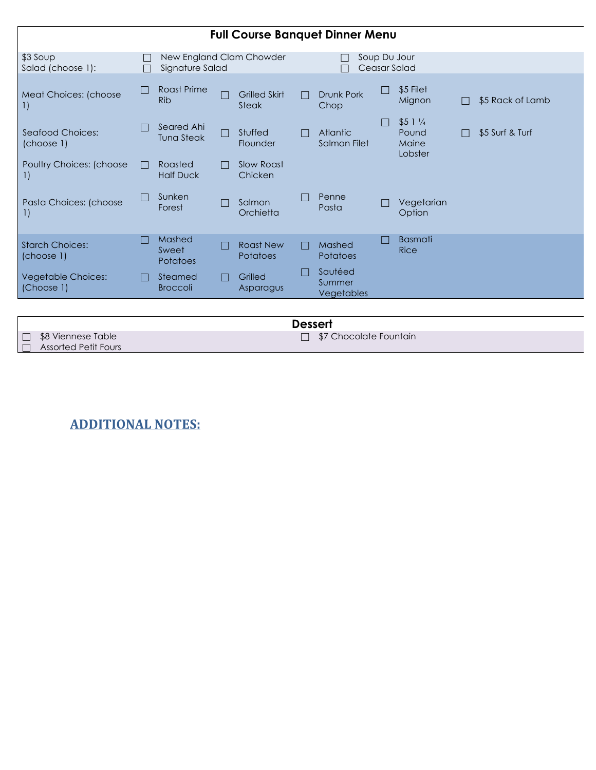| <b>Full Course Banquet Dinner Menu</b>     |        |                                             |  |                                     |                              |                                 |              |                                               |  |                  |
|--------------------------------------------|--------|---------------------------------------------|--|-------------------------------------|------------------------------|---------------------------------|--------------|-----------------------------------------------|--|------------------|
| \$3 Soup<br>Salad (choose 1):              |        | New England Clam Chowder<br>Signature Salad |  |                                     | Soup Du Jour<br>Ceasar Salad |                                 |              |                                               |  |                  |
| Meat Choices: (choose<br>$\Box$            | $\Box$ | Roast Prime<br><b>Rib</b>                   |  | <b>Grilled Skirt</b><br>Steak       |                              | Drunk Pork<br>Chop              | $\mathbf{I}$ | \$5 Filet<br>Mignon                           |  | \$5 Rack of Lamb |
| Seafood Choices:<br>(choose 1)             |        | Seared Ahi<br><b>Tuna Steak</b>             |  | Stuffed<br>Flounder                 |                              | <b>Atlantic</b><br>Salmon Filet |              | $$51\frac{1}{4}$<br>Pound<br>Maine<br>Lobster |  | \$5 Surf & Turf  |
| Poultry Choices: (choose<br>1)             | П      | Roasted<br><b>Half Duck</b>                 |  | Slow Roast<br>Chicken               |                              |                                 |              |                                               |  |                  |
| Pasta Choices: (choose<br>$\left  \right $ | $\Box$ | Sunken<br>Forest                            |  | Salmon<br>Orchietta                 |                              | Penne<br>Pasta                  |              | Vegetarian<br>Option                          |  |                  |
| <b>Starch Choices:</b><br>(choose 1)       | E      | Mashed<br>Sweet<br><b>Potatoes</b>          |  | <b>Roast New</b><br><b>Potatoes</b> | П                            | Mashed<br><b>Potatoes</b>       |              | <b>Basmati</b><br>Rice                        |  |                  |
| <b>Vegetable Choices:</b><br>(Choose 1)    | H      | Steamed<br><b>Broccoli</b>                  |  | Grilled<br>Asparagus                |                              | Sautéed<br>Summer<br>Vegetables |              |                                               |  |                  |
|                                            |        |                                             |  |                                     |                              |                                 |              |                                               |  |                  |

**Dessert** □ \$8 Viennese Table □ Assorted Petit Fours  $\Box$  \$7 Chocolate Fountain

**ADDITIONAL NOTES:**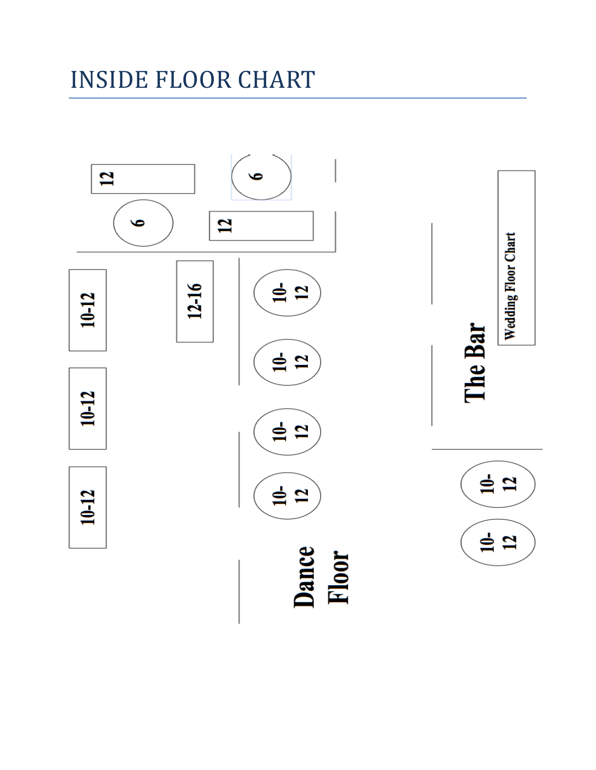## **INSIDE FLOOR CHART**